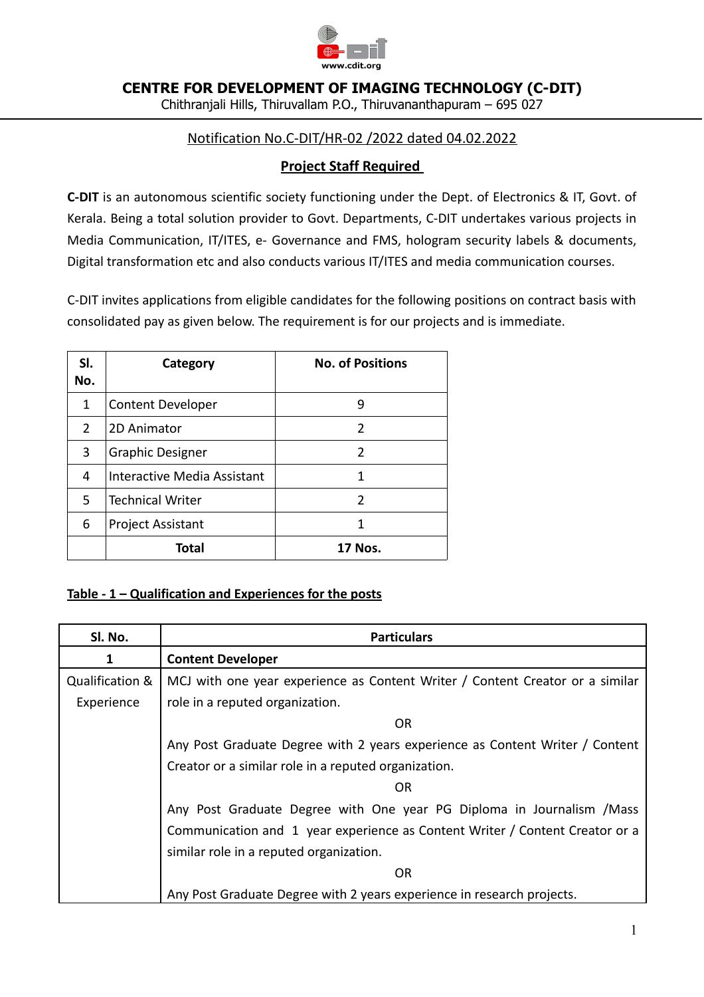

**CENTRE FOR DEVELOPMENT OF IMAGING TECHNOLOGY (C-DIT)**

Chithranjali Hills, Thiruvallam P.O., Thiruvananthapuram – 695 027

# Notification No.C-DIT/HR-02 /2022 dated 04.02.2022

# **Project Staff Required**

**C-DIT** is an autonomous scientific society functioning under the Dept. of Electronics & IT, Govt. of Kerala. Being a total solution provider to Govt. Departments, C-DIT undertakes various projects in Media Communication, IT/ITES, e- Governance and FMS, hologram security labels & documents, Digital transformation etc and also conducts various IT/ITES and media communication courses.

C-DIT invites applications from eligible candidates for the following positions on contract basis with consolidated pay as given below. The requirement is for our projects and is immediate.

| SI.<br>No. | Category                    | <b>No. of Positions</b> |
|------------|-----------------------------|-------------------------|
| 1          | <b>Content Developer</b>    | 9                       |
| 2          | 2D Animator                 | 2                       |
| 3          | <b>Graphic Designer</b>     | 2                       |
| 4          | Interactive Media Assistant | 1                       |
| 5.         | <b>Technical Writer</b>     | 2                       |
| 6          | <b>Project Assistant</b>    | 1                       |
|            | Total                       | <b>17 Nos.</b>          |

# **Table - 1 – Qualification and Experiences for the posts**

| SI. No.         | <b>Particulars</b>                                                            |  |  |
|-----------------|-------------------------------------------------------------------------------|--|--|
| 1               | <b>Content Developer</b>                                                      |  |  |
| Qualification & | MCJ with one year experience as Content Writer / Content Creator or a similar |  |  |
| Experience      | role in a reputed organization.                                               |  |  |
|                 | 0R                                                                            |  |  |
|                 | Any Post Graduate Degree with 2 years experience as Content Writer / Content  |  |  |
|                 | Creator or a similar role in a reputed organization.                          |  |  |
| OR              |                                                                               |  |  |
|                 | Any Post Graduate Degree with One year PG Diploma in Journalism / Mass        |  |  |
|                 | Communication and 1 year experience as Content Writer / Content Creator or a  |  |  |
|                 | similar role in a reputed organization.                                       |  |  |
|                 | OR                                                                            |  |  |
|                 | Any Post Graduate Degree with 2 years experience in research projects.        |  |  |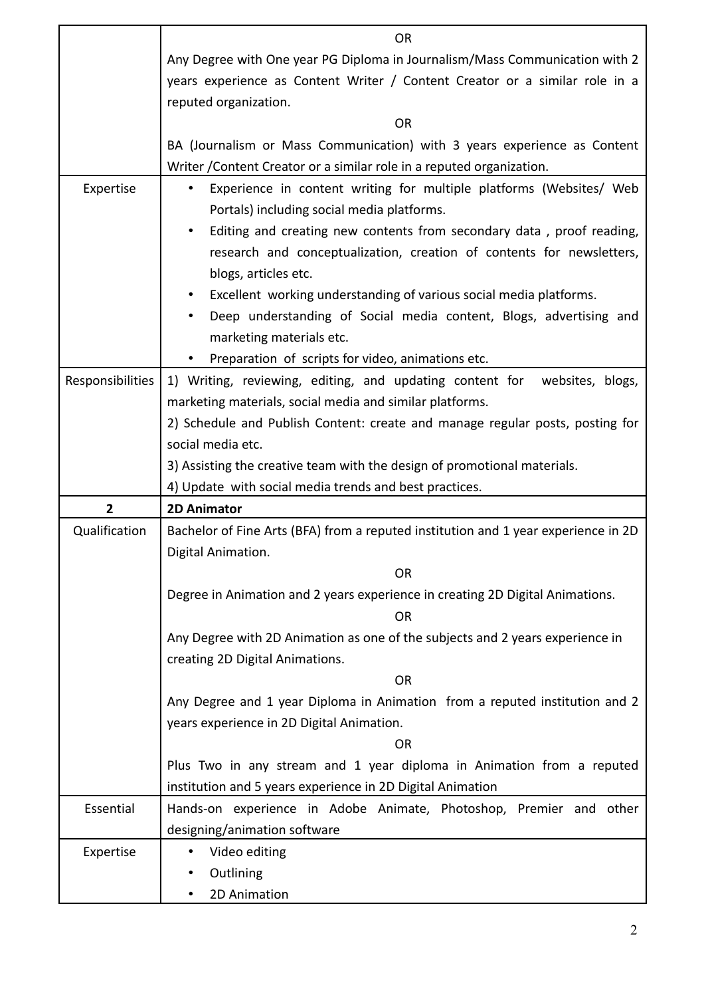|                  | <b>OR</b>                                                                                                                                                                           |  |  |
|------------------|-------------------------------------------------------------------------------------------------------------------------------------------------------------------------------------|--|--|
|                  | Any Degree with One year PG Diploma in Journalism/Mass Communication with 2                                                                                                         |  |  |
|                  | years experience as Content Writer / Content Creator or a similar role in a                                                                                                         |  |  |
|                  | reputed organization.                                                                                                                                                               |  |  |
|                  | <b>OR</b>                                                                                                                                                                           |  |  |
|                  | BA (Journalism or Mass Communication) with 3 years experience as Content                                                                                                            |  |  |
|                  | Writer / Content Creator or a similar role in a reputed organization.                                                                                                               |  |  |
| Expertise        | Experience in content writing for multiple platforms (Websites/ Web<br>$\bullet$<br>Portals) including social media platforms.                                                      |  |  |
|                  | Editing and creating new contents from secondary data, proof reading,<br>$\bullet$<br>research and conceptualization, creation of contents for newsletters,<br>blogs, articles etc. |  |  |
|                  | Excellent working understanding of various social media platforms.<br>$\bullet$                                                                                                     |  |  |
|                  | Deep understanding of Social media content, Blogs, advertising and<br>$\bullet$                                                                                                     |  |  |
|                  | marketing materials etc.                                                                                                                                                            |  |  |
|                  | Preparation of scripts for video, animations etc.<br>$\bullet$                                                                                                                      |  |  |
| Responsibilities | 1) Writing, reviewing, editing, and updating content for websites, blogs,                                                                                                           |  |  |
|                  | marketing materials, social media and similar platforms.                                                                                                                            |  |  |
|                  | 2) Schedule and Publish Content: create and manage regular posts, posting for                                                                                                       |  |  |
|                  | social media etc.                                                                                                                                                                   |  |  |
|                  | 3) Assisting the creative team with the design of promotional materials.                                                                                                            |  |  |
|                  |                                                                                                                                                                                     |  |  |
|                  | 4) Update with social media trends and best practices.                                                                                                                              |  |  |
| $\mathbf{2}$     | <b>2D Animator</b>                                                                                                                                                                  |  |  |
| Qualification    | Bachelor of Fine Arts (BFA) from a reputed institution and 1 year experience in 2D                                                                                                  |  |  |
|                  | Digital Animation.                                                                                                                                                                  |  |  |
|                  | <b>OR</b>                                                                                                                                                                           |  |  |
|                  | Degree in Animation and 2 years experience in creating 2D Digital Animations.<br><b>OR</b>                                                                                          |  |  |
|                  | Any Degree with 2D Animation as one of the subjects and 2 years experience in                                                                                                       |  |  |
|                  | creating 2D Digital Animations.                                                                                                                                                     |  |  |
|                  | <b>OR</b>                                                                                                                                                                           |  |  |
|                  | Any Degree and 1 year Diploma in Animation from a reputed institution and 2                                                                                                         |  |  |
|                  | years experience in 2D Digital Animation.                                                                                                                                           |  |  |
|                  | <b>OR</b>                                                                                                                                                                           |  |  |
|                  | Plus Two in any stream and 1 year diploma in Animation from a reputed                                                                                                               |  |  |
|                  | institution and 5 years experience in 2D Digital Animation                                                                                                                          |  |  |
| Essential        | Hands-on experience in Adobe Animate, Photoshop, Premier and other                                                                                                                  |  |  |
|                  | designing/animation software                                                                                                                                                        |  |  |
| Expertise        | Video editing<br>$\bullet$                                                                                                                                                          |  |  |
|                  | Outlining                                                                                                                                                                           |  |  |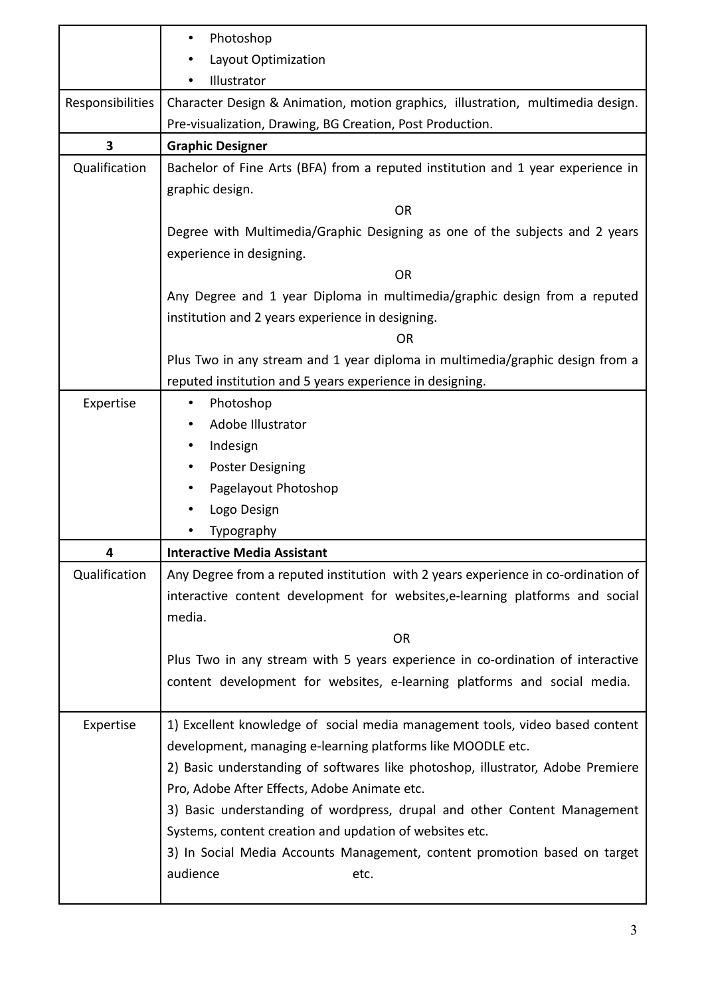|                                                                                                  | Photoshop<br>$\bullet$                                                            |  |
|--------------------------------------------------------------------------------------------------|-----------------------------------------------------------------------------------|--|
| Layout Optimization                                                                              |                                                                                   |  |
|                                                                                                  | Illustrator                                                                       |  |
| Responsibilities                                                                                 | Character Design & Animation, motion graphics, illustration, multimedia design.   |  |
|                                                                                                  | Pre-visualization, Drawing, BG Creation, Post Production.                         |  |
| 3                                                                                                | <b>Graphic Designer</b>                                                           |  |
| Qualification<br>Bachelor of Fine Arts (BFA) from a reputed institution and 1 year experience in |                                                                                   |  |
|                                                                                                  | graphic design.                                                                   |  |
|                                                                                                  | <b>OR</b>                                                                         |  |
|                                                                                                  | Degree with Multimedia/Graphic Designing as one of the subjects and 2 years       |  |
|                                                                                                  | experience in designing.                                                          |  |
|                                                                                                  | <b>OR</b>                                                                         |  |
|                                                                                                  | Any Degree and 1 year Diploma in multimedia/graphic design from a reputed         |  |
|                                                                                                  | institution and 2 years experience in designing.                                  |  |
|                                                                                                  | <b>OR</b>                                                                         |  |
|                                                                                                  | Plus Two in any stream and 1 year diploma in multimedia/graphic design from a     |  |
|                                                                                                  | reputed institution and 5 years experience in designing.                          |  |
| Expertise                                                                                        | Photoshop                                                                         |  |
|                                                                                                  | Adobe Illustrator                                                                 |  |
|                                                                                                  | Indesign                                                                          |  |
|                                                                                                  | <b>Poster Designing</b><br>٠                                                      |  |
|                                                                                                  | Pagelayout Photoshop                                                              |  |
|                                                                                                  | Logo Design                                                                       |  |
|                                                                                                  | Typography                                                                        |  |
| 4                                                                                                | <b>Interactive Media Assistant</b>                                                |  |
| Qualification                                                                                    | Any Degree from a reputed institution with 2 years experience in co-ordination of |  |
|                                                                                                  | interactive content development for websites, e-learning platforms and social     |  |
|                                                                                                  | media.                                                                            |  |
|                                                                                                  | <b>OR</b>                                                                         |  |
|                                                                                                  | Plus Two in any stream with 5 years experience in co-ordination of interactive    |  |
|                                                                                                  | content development for websites, e-learning platforms and social media.          |  |
|                                                                                                  |                                                                                   |  |
| Expertise                                                                                        | 1) Excellent knowledge of social media management tools, video based content      |  |
|                                                                                                  | development, managing e-learning platforms like MOODLE etc.                       |  |
|                                                                                                  | 2) Basic understanding of softwares like photoshop, illustrator, Adobe Premiere   |  |
|                                                                                                  | Pro, Adobe After Effects, Adobe Animate etc.                                      |  |
|                                                                                                  | 3) Basic understanding of wordpress, drupal and other Content Management          |  |
|                                                                                                  | Systems, content creation and updation of websites etc.                           |  |
|                                                                                                  | 3) In Social Media Accounts Management, content promotion based on target         |  |
|                                                                                                  | audience<br>etc.                                                                  |  |
|                                                                                                  |                                                                                   |  |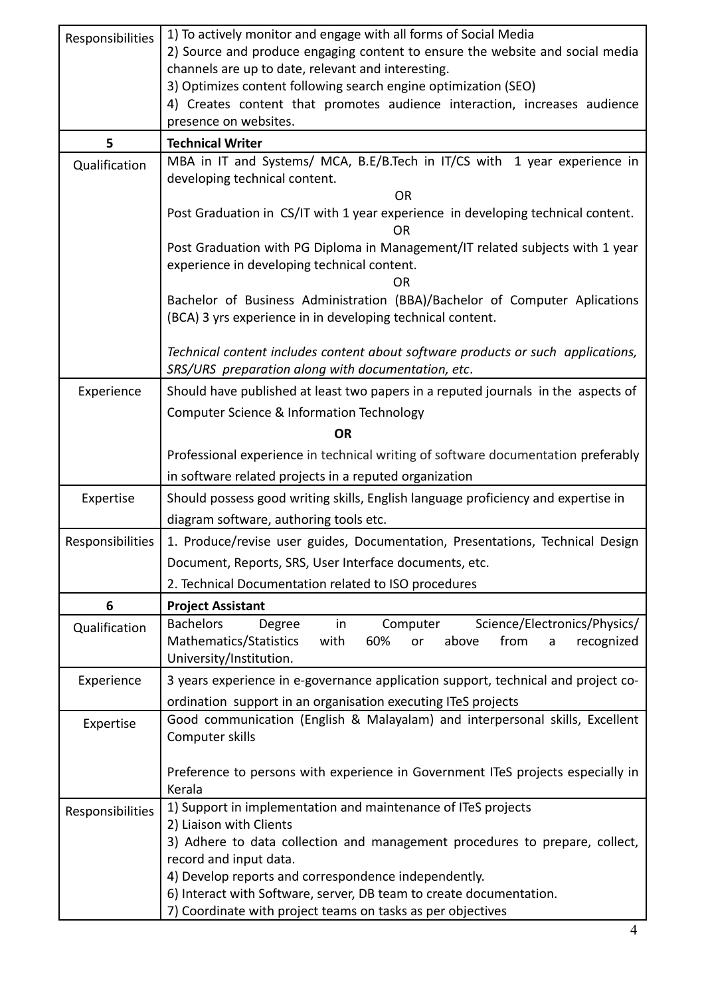| Responsibilities                                                                           | 1) To actively monitor and engage with all forms of Social Media                                                                                           |  |  |
|--------------------------------------------------------------------------------------------|------------------------------------------------------------------------------------------------------------------------------------------------------------|--|--|
|                                                                                            | 2) Source and produce engaging content to ensure the website and social media                                                                              |  |  |
|                                                                                            | channels are up to date, relevant and interesting.                                                                                                         |  |  |
|                                                                                            | 3) Optimizes content following search engine optimization (SEO)                                                                                            |  |  |
|                                                                                            | 4) Creates content that promotes audience interaction, increases audience                                                                                  |  |  |
|                                                                                            | presence on websites.                                                                                                                                      |  |  |
| 5                                                                                          | <b>Technical Writer</b>                                                                                                                                    |  |  |
| MBA in IT and Systems/ MCA, B.E/B.Tech in IT/CS with 1 year experience in<br>Qualification |                                                                                                                                                            |  |  |
|                                                                                            | developing technical content.                                                                                                                              |  |  |
|                                                                                            | <b>OR</b>                                                                                                                                                  |  |  |
|                                                                                            | Post Graduation in CS/IT with 1 year experience in developing technical content.<br>OR.                                                                    |  |  |
|                                                                                            | Post Graduation with PG Diploma in Management/IT related subjects with 1 year                                                                              |  |  |
|                                                                                            | experience in developing technical content.<br><b>OR</b>                                                                                                   |  |  |
|                                                                                            | Bachelor of Business Administration (BBA)/Bachelor of Computer Aplications                                                                                 |  |  |
|                                                                                            | (BCA) 3 yrs experience in in developing technical content.                                                                                                 |  |  |
|                                                                                            | Technical content includes content about software products or such applications,<br>SRS/URS preparation along with documentation, etc.                     |  |  |
| Experience                                                                                 | Should have published at least two papers in a reputed journals in the aspects of                                                                          |  |  |
|                                                                                            |                                                                                                                                                            |  |  |
|                                                                                            | Computer Science & Information Technology                                                                                                                  |  |  |
|                                                                                            | <b>OR</b>                                                                                                                                                  |  |  |
|                                                                                            | Professional experience in technical writing of software documentation preferably                                                                          |  |  |
|                                                                                            | in software related projects in a reputed organization                                                                                                     |  |  |
| Expertise                                                                                  | Should possess good writing skills, English language proficiency and expertise in                                                                          |  |  |
|                                                                                            | diagram software, authoring tools etc.                                                                                                                     |  |  |
| Responsibilities                                                                           | 1. Produce/revise user guides, Documentation, Presentations, Technical Design                                                                              |  |  |
|                                                                                            | Document, Reports, SRS, User Interface documents, etc.                                                                                                     |  |  |
|                                                                                            | 2. Technical Documentation related to ISO procedures                                                                                                       |  |  |
|                                                                                            |                                                                                                                                                            |  |  |
| 6                                                                                          | <b>Project Assistant</b>                                                                                                                                   |  |  |
| Qualification                                                                              | <b>Bachelors</b><br>Science/Electronics/Physics/<br>Degree<br>Computer<br>in<br>Mathematics/Statistics<br>with<br>60%<br>above<br>from<br>recognized<br>or |  |  |
|                                                                                            | a<br>University/Institution.                                                                                                                               |  |  |
|                                                                                            |                                                                                                                                                            |  |  |
| Experience                                                                                 | 3 years experience in e-governance application support, technical and project co-                                                                          |  |  |
|                                                                                            | ordination support in an organisation executing ITeS projects                                                                                              |  |  |
| Expertise                                                                                  | Good communication (English & Malayalam) and interpersonal skills, Excellent<br>Computer skills                                                            |  |  |
|                                                                                            |                                                                                                                                                            |  |  |
|                                                                                            | Preference to persons with experience in Government ITeS projects especially in                                                                            |  |  |
|                                                                                            | Kerala                                                                                                                                                     |  |  |
| Responsibilities                                                                           | 1) Support in implementation and maintenance of ITeS projects                                                                                              |  |  |
|                                                                                            | 2) Liaison with Clients<br>3) Adhere to data collection and management procedures to prepare, collect,                                                     |  |  |
|                                                                                            | record and input data.                                                                                                                                     |  |  |
|                                                                                            | 4) Develop reports and correspondence independently.                                                                                                       |  |  |
|                                                                                            | 6) Interact with Software, server, DB team to create documentation.                                                                                        |  |  |
|                                                                                            | 7) Coordinate with project teams on tasks as per objectives                                                                                                |  |  |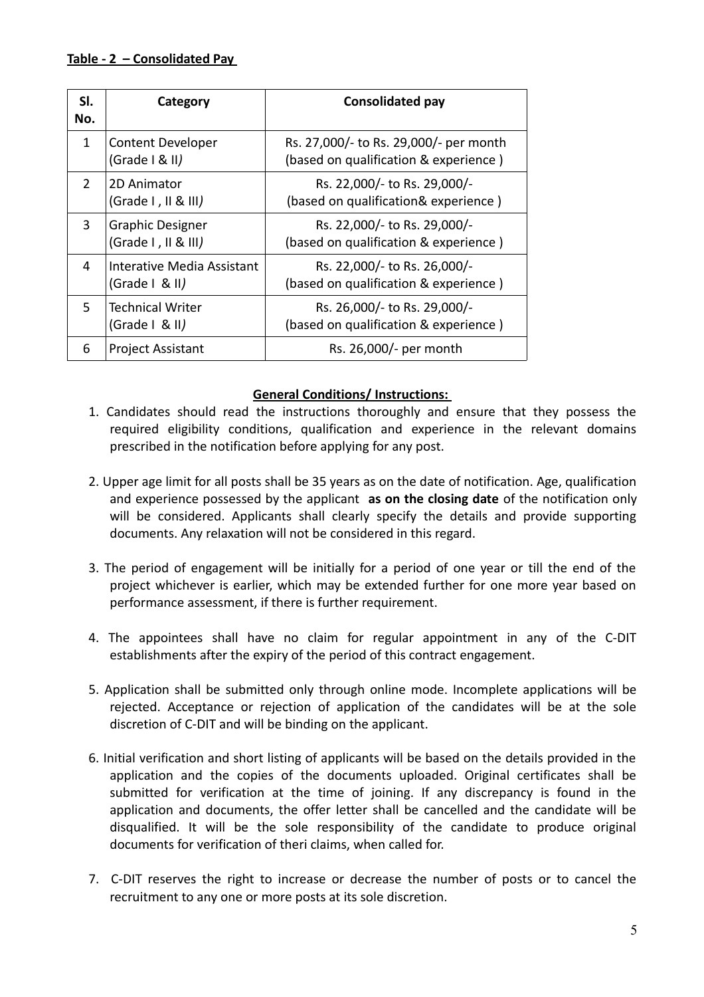### **Table - 2 – Consolidated Pay**

| SI.<br>No.    | Category                                       | <b>Consolidated pay</b>                                                         |
|---------------|------------------------------------------------|---------------------------------------------------------------------------------|
| $\mathbf{1}$  | <b>Content Developer</b><br>(Grade   8 II)     | Rs. 27,000/- to Rs. 29,000/- per month<br>(based on qualification & experience) |
| $\mathcal{P}$ | 2D Animator<br>(Grade I, II & III)             | Rs. 22,000/- to Rs. 29,000/-<br>(based on qualification& experience)            |
| 3             | <b>Graphic Designer</b><br>(Grade I, II & III) | Rs. 22,000/- to Rs. 29,000/-<br>(based on qualification & experience)           |
| 4             | Interative Media Assistant<br>(Grade   & II)   | Rs. 22,000/- to Rs. 26,000/-<br>(based on qualification & experience)           |
| 5.            | <b>Technical Writer</b><br>(Grade   & II)      | Rs. 26,000/- to Rs. 29,000/-<br>(based on qualification & experience)           |
| 6             | <b>Project Assistant</b>                       | Rs. 26,000/- per month                                                          |

#### **General Conditions/ Instructions:**

- 1. Candidates should read the instructions thoroughly and ensure that they possess the required eligibility conditions, qualification and experience in the relevant domains prescribed in the notification before applying for any post.
- 2. Upper age limit for all posts shall be 35 years as on the date of notification. Age, qualification and experience possessed by the applicant **as on the closing date** of the notification only will be considered. Applicants shall clearly specify the details and provide supporting documents. Any relaxation will not be considered in this regard.
- 3. The period of engagement will be initially for a period of one year or till the end of the project whichever is earlier, which may be extended further for one more year based on performance assessment, if there is further requirement.
- 4. The appointees shall have no claim for regular appointment in any of the C-DIT establishments after the expiry of the period of this contract engagement.
- 5. Application shall be submitted only through online mode. Incomplete applications will be rejected. Acceptance or rejection of application of the candidates will be at the sole discretion of C-DIT and will be binding on the applicant.
- 6. Initial verification and short listing of applicants will be based on the details provided in the application and the copies of the documents uploaded. Original certificates shall be submitted for verification at the time of joining. If any discrepancy is found in the application and documents, the offer letter shall be cancelled and the candidate will be disqualified. It will be the sole responsibility of the candidate to produce original documents for verification of theri claims, when called for.
- 7. C-DIT reserves the right to increase or decrease the number of posts or to cancel the recruitment to any one or more posts at its sole discretion.